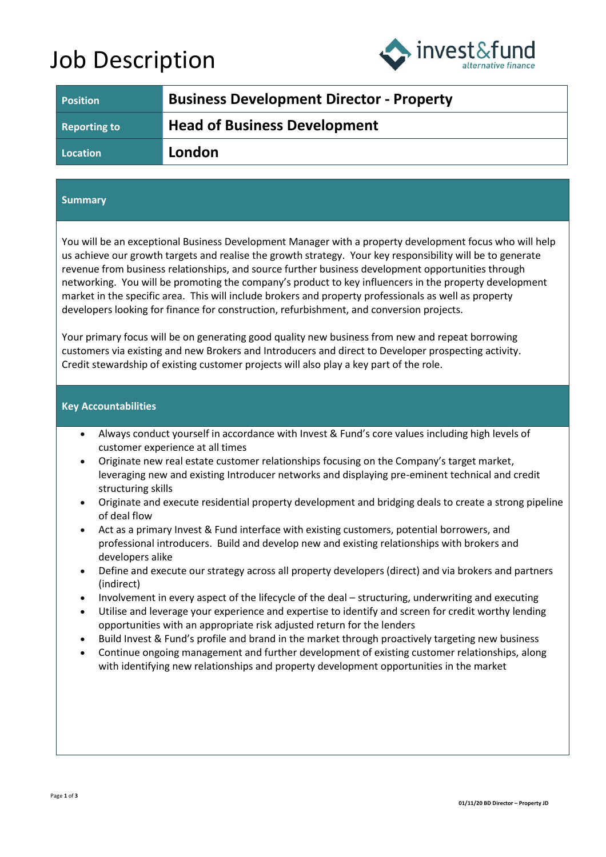# Job Description



| <b>Position</b>     | <b>Business Development Director - Property</b> |
|---------------------|-------------------------------------------------|
| <b>Reporting to</b> | <b>Head of Business Development</b>             |
| Location            | London                                          |

## **Summary**

You will be an exceptional Business Development Manager with a property development focus who will help us achieve our growth targets and realise the growth strategy. Your key responsibility will be to generate revenue from business relationships, and source further business development opportunities through networking. You will be promoting the company's product to key influencers in the property development market in the specific area. This will include brokers and property professionals as well as property developers looking for finance for construction, refurbishment, and conversion projects.

Your primary focus will be on generating good quality new business from new and repeat borrowing customers via existing and new Brokers and Introducers and direct to Developer prospecting activity. Credit stewardship of existing customer projects will also play a key part of the role.

### **Key Accountabilities**

- Always conduct yourself in accordance with Invest & Fund's core values including high levels of customer experience at all times
- Originate new real estate customer relationships focusing on the Company's target market, leveraging new and existing Introducer networks and displaying pre-eminent technical and credit structuring skills
- Originate and execute residential property development and bridging deals to create a strong pipeline of deal flow
- Act as a primary Invest & Fund interface with existing customers, potential borrowers, and professional introducers. Build and develop new and existing relationships with brokers and developers alike
- Define and execute our strategy across all property developers (direct) and via brokers and partners (indirect)
- Involvement in every aspect of the lifecycle of the deal structuring, underwriting and executing
- Utilise and leverage your experience and expertise to identify and screen for credit worthy lending opportunities with an appropriate risk adjusted return for the lenders
- Build Invest & Fund's profile and brand in the market through proactively targeting new business
- Continue ongoing management and further development of existing customer relationships, along with identifying new relationships and property development opportunities in the market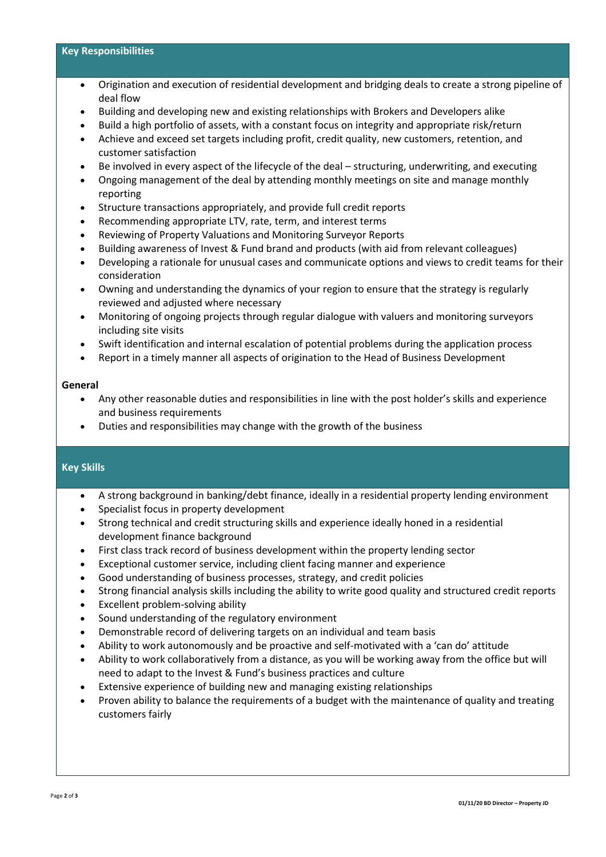## **Key Responsibilities**

- Origination and execution of residential development and bridging deals to create a strong pipeline of deal flow
- Building and developing new and existing relationships with Brokers and Developers alike
- Build a high portfolio of assets, with a constant focus on integrity and appropriate risk/return
- Achieve and exceed set targets including profit, credit quality, new customers, retention, and customer satisfaction
- Be involved in every aspect of the lifecycle of the deal structuring, underwriting, and executing
- Ongoing management of the deal by attending monthly meetings on site and manage monthly reporting
- Structure transactions appropriately, and provide full credit reports
- Recommending appropriate LTV, rate, term, and interest terms
- Reviewing of Property Valuations and Monitoring Surveyor Reports
- Building awareness of Invest & Fund brand and products (with aid from relevant colleagues)
- Developing a rationale for unusual cases and communicate options and views to credit teams for their consideration
- Owning and understanding the dynamics of your region to ensure that the strategy is regularly reviewed and adjusted where necessary
- Monitoring of ongoing projects through regular dialogue with valuers and monitoring surveyors including site visits
- Swift identification and internal escalation of potential problems during the application process
- Report in a timely manner all aspects of origination to the Head of Business Development

#### **General**

- Any other reasonable duties and responsibilities in line with the post holder's skills and experience and business requirements
- Duties and responsibilities may change with the growth of the business

#### **Key Skills**

- A strong background in banking/debt finance, ideally in a residential property lending environment
- Specialist focus in property development
- Strong technical and credit structuring skills and experience ideally honed in a residential development finance background
- First class track record of business development within the property lending sector
- Exceptional customer service, including client facing manner and experience
- Good understanding of business processes, strategy, and credit policies
- Strong financial analysis skills including the ability to write good quality and structured credit reports
- Excellent problem-solving ability
- Sound understanding of the regulatory environment
- Demonstrable record of delivering targets on an individual and team basis
- Ability to work autonomously and be proactive and self-motivated with a 'can do' attitude
- Ability to work collaboratively from a distance, as you will be working away from the office but will need to adapt to the Invest & Fund's business practices and culture
- Extensive experience of building new and managing existing relationships
- Proven ability to balance the requirements of a budget with the maintenance of quality and treating customers fairly